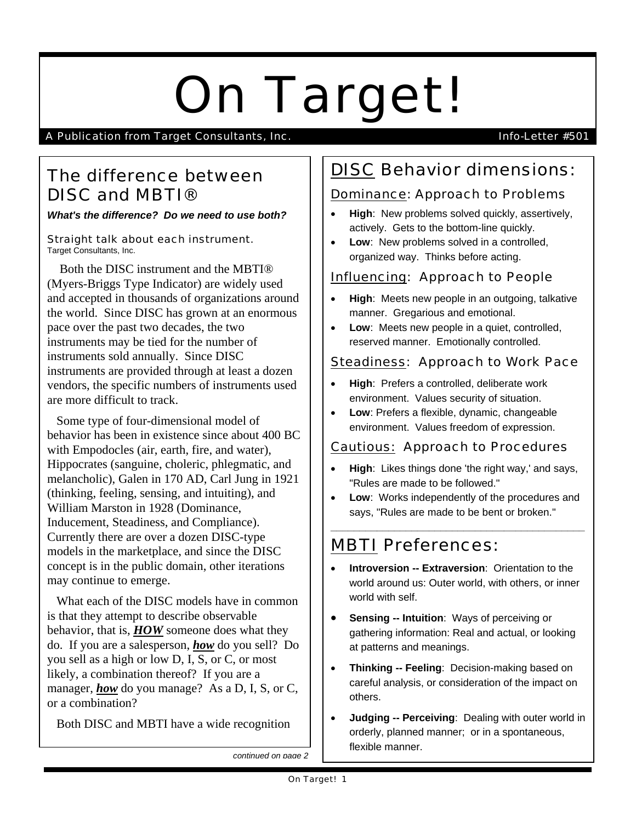# On Target!

A Publication from Target Consultants, Inc. **Info-Letter #501** Info-Letter #501

## The difference between DISC and MBTI®

*What's the difference? Do we need to use both?*

Straight talk about each instrument. Target Consultants, Inc.

 Both the DISC instrument and the MBTI® (Myers-Briggs Type Indicator) are widely used and accepted in thousands of organizations around the world. Since DISC has grown at an enormous pace over the past two decades, the two instruments may be tied for the number of instruments sold annually. Since DISC instruments are provided through at least a dozen vendors, the specific numbers of instruments used are more difficult to track.

 Some type of four-dimensional model of behavior has been in existence since about 400 BC with Empodocles (air, earth, fire, and water), Hippocrates (sanguine, choleric, phlegmatic, and melancholic), Galen in 170 AD, Carl Jung in 1921 (thinking, feeling, sensing, and intuiting), and William Marston in 1928 (Dominance, Inducement, Steadiness, and Compliance). Currently there are over a dozen DISC-type models in the marketplace, and since the DISC concept is in the public domain, other iterations may continue to emerge.

 What each of the DISC models have in common is that they attempt to describe observable behavior, that is, *HOW* someone does what they do. If you are a salesperson, *how* do you sell? Do you sell as a high or low D, I, S, or C, or most likely, a combination thereof? If you are a manager, **how** do you manage? As a D, I, S, or C, or a combination?

Both DISC and MBTI have a wide recognition

# DISC Behavior dimensions:

#### Dominance: Approach to Problems

- **High**: New problems solved quickly, assertively, actively. Gets to the bottom-line quickly.
- **Low**: New problems solved in a controlled, organized way. Thinks before acting.

### Influencing: Approach to People

- **High**: Meets new people in an outgoing, talkative manner. Gregarious and emotional.
- **Low**: Meets new people in a quiet, controlled, reserved manner. Emotionally controlled.

#### Steadiness: Approach to Work Pace

- **High**: Prefers a controlled, deliberate work environment. Values security of situation.
- **Low**: Prefers a flexible, dynamic, changeable environment. Values freedom of expression.

#### Cautious: Approach to Procedures

- **High**: Likes things done 'the right way,' and says, "Rules are made to be followed."
- **Low**: Works independently of the procedures and says, "Rules are made to be bent or broken."

**\_\_\_\_\_\_\_\_\_\_\_\_\_\_\_\_\_\_\_\_\_\_\_\_\_\_\_\_\_\_\_\_\_\_\_\_\_\_\_\_\_\_\_\_**

# MBTI Preferences:

- **Introversion -- Extraversion**: Orientation to the world around us: Outer world, with others, or inner world with self.
- **Sensing -- Intuition: Ways of perceiving or** gathering information: Real and actual, or looking at patterns and meanings.
- **Thinking -- Feeling**: Decision-making based on careful analysis, or consideration of the impact on others.
- **Judging -- Perceiving**: Dealing with outer world in orderly, planned manner; or in a spontaneous, flexible manner.

*continued on page 2*